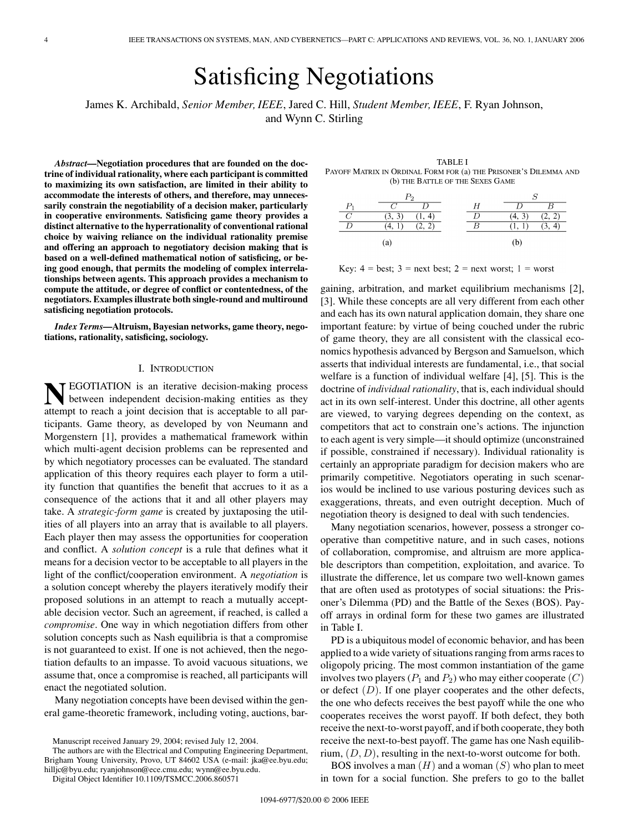# Satisficing Negotiations

James K. Archibald, *Senior Member, IEEE*, Jared C. Hill, *Student Member, IEEE*, F. Ryan Johnson,

and Wynn C. Stirling

*Abstract***—Negotiation procedures that are founded on the doctrine of individual rationality, where each participant is committed to maximizing its own satisfaction, are limited in their ability to accommodate the interests of others, and therefore, may unnecessarily constrain the negotiability of a decision maker, particularly in cooperative environments. Satisficing game theory provides a distinct alternative to the hyperrationality of conventional rational choice by waiving reliance on the individual rationality premise and offering an approach to negotiatory decision making that is based on a well-defined mathematical notion of satisficing, or being good enough, that permits the modeling of complex interrelationships between agents. This approach provides a mechanism to compute the attitude, or degree of conflict or contentedness, of the negotiators. Examples illustrate both single-round and multiround satisficing negotiation protocols.**

*Index Terms***—Altruism, Bayesian networks, game theory, negotiations, rationality, satisficing, sociology.**

## I. INTRODUCTION

**T** EGOTIATION is an iterative decision-making process between independent decision-making entities as they attempt to reach a joint decision that is acceptable to all participants. Game theory, as developed by von Neumann and Morgenstern [1], provides a mathematical framework within which multi-agent decision problems can be represented and by which negotiatory processes can be evaluated. The standard application of this theory requires each player to form a utility function that quantifies the benefit that accrues to it as a consequence of the actions that it and all other players may take. A *strategic-form game* is created by juxtaposing the utilities of all players into an array that is available to all players. Each player then may assess the opportunities for cooperation and conflict. A *solution concept* is a rule that defines what it means for a decision vector to be acceptable to all players in the light of the conflict/cooperation environment. A *negotiation* is a solution concept whereby the players iteratively modify their proposed solutions in an attempt to reach a mutually acceptable decision vector. Such an agreement, if reached, is called a *compromise*. One way in which negotiation differs from other solution concepts such as Nash equilibria is that a compromise is not guaranteed to exist. If one is not achieved, then the negotiation defaults to an impasse. To avoid vacuous situations, we assume that, once a compromise is reached, all participants will enact the negotiated solution.

Many negotiation concepts have been devised within the general game-theoretic framework, including voting, auctions, bar-

The authors are with the Electrical and Computing Engineering Department, Brigham Young University, Provo, UT 84602 USA (e-mail: jka@ee.byu.edu; hilljc@byu.edu; ryanjohnson@ece.cmu.edu; wynn@ee.byu.edu.

Digital Object Identifier 10.1109/TSMCC.2006.860571

TABLE I PAYOFF MATRIX IN ORDINAL FORM FOR (a) THE PRISONER'S DILEMMA AND (b) THE BATTLE OF THE SEXES GAME



Key:  $4 = \text{best}$ ;  $3 = \text{next best}$ ;  $2 = \text{next worst}$ ;  $1 = \text{worst}$ 

gaining, arbitration, and market equilibrium mechanisms [2], [3]. While these concepts are all very different from each other and each has its own natural application domain, they share one important feature: by virtue of being couched under the rubric of game theory, they are all consistent with the classical economics hypothesis advanced by Bergson and Samuelson, which asserts that individual interests are fundamental, i.e., that social welfare is a function of individual welfare [4], [5]. This is the doctrine of *individual rationality*, that is, each individual should act in its own self-interest. Under this doctrine, all other agents are viewed, to varying degrees depending on the context, as competitors that act to constrain one's actions. The injunction to each agent is very simple—it should optimize (unconstrained if possible, constrained if necessary). Individual rationality is certainly an appropriate paradigm for decision makers who are primarily competitive. Negotiators operating in such scenarios would be inclined to use various posturing devices such as exaggerations, threats, and even outright deception. Much of negotiation theory is designed to deal with such tendencies.

Many negotiation scenarios, however, possess a stronger cooperative than competitive nature, and in such cases, notions of collaboration, compromise, and altruism are more applicable descriptors than competition, exploitation, and avarice. To illustrate the difference, let us compare two well-known games that are often used as prototypes of social situations: the Prisoner's Dilemma (PD) and the Battle of the Sexes (BOS). Payoff arrays in ordinal form for these two games are illustrated in Table I.

PD is a ubiquitous model of economic behavior, and has been applied to a wide variety of situations ranging from arms races to oligopoly pricing. The most common instantiation of the game involves two players ( $P_1$  and  $P_2$ ) who may either cooperate (C) or defect  $(D)$ . If one player cooperates and the other defects, the one who defects receives the best payoff while the one who cooperates receives the worst payoff. If both defect, they both receive the next-to-worst payoff, and if both cooperate, they both receive the next-to-best payoff. The game has one Nash equilibrium,  $(D, D)$ , resulting in the next-to-worst outcome for both.

BOS involves a man  $(H)$  and a woman  $(S)$  who plan to meet in town for a social function. She prefers to go to the ballet

Manuscript received January 29, 2004; revised July 12, 2004.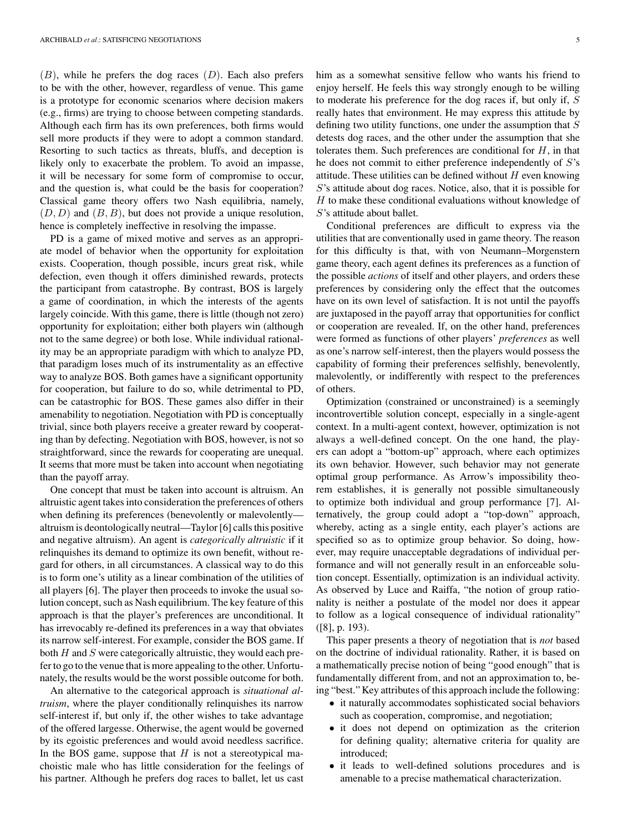$(B)$ , while he prefers the dog races  $(D)$ . Each also prefers to be with the other, however, regardless of venue. This game is a prototype for economic scenarios where decision makers (e.g., firms) are trying to choose between competing standards. Although each firm has its own preferences, both firms would sell more products if they were to adopt a common standard. Resorting to such tactics as threats, bluffs, and deception is likely only to exacerbate the problem. To avoid an impasse, it will be necessary for some form of compromise to occur, and the question is, what could be the basis for cooperation? Classical game theory offers two Nash equilibria, namely,  $(D, D)$  and  $(B, B)$ , but does not provide a unique resolution, hence is completely ineffective in resolving the impasse.

PD is a game of mixed motive and serves as an appropriate model of behavior when the opportunity for exploitation exists. Cooperation, though possible, incurs great risk, while defection, even though it offers diminished rewards, protects the participant from catastrophe. By contrast, BOS is largely a game of coordination, in which the interests of the agents largely coincide. With this game, there is little (though not zero) opportunity for exploitation; either both players win (although not to the same degree) or both lose. While individual rationality may be an appropriate paradigm with which to analyze PD, that paradigm loses much of its instrumentality as an effective way to analyze BOS. Both games have a significant opportunity for cooperation, but failure to do so, while detrimental to PD, can be catastrophic for BOS. These games also differ in their amenability to negotiation. Negotiation with PD is conceptually trivial, since both players receive a greater reward by cooperating than by defecting. Negotiation with BOS, however, is not so straightforward, since the rewards for cooperating are unequal. It seems that more must be taken into account when negotiating than the payoff array.

One concept that must be taken into account is altruism. An altruistic agent takes into consideration the preferences of others when defining its preferences (benevolently or malevolently altruism is deontologically neutral—Taylor [6] calls this positive and negative altruism). An agent is *categorically altruistic* if it relinquishes its demand to optimize its own benefit, without regard for others, in all circumstances. A classical way to do this is to form one's utility as a linear combination of the utilities of all players [6]. The player then proceeds to invoke the usual solution concept, such as Nash equilibrium. The key feature of this approach is that the player's preferences are unconditional. It has irrevocably re-defined its preferences in a way that obviates its narrow self-interest. For example, consider the BOS game. If both  $H$  and  $S$  were categorically altruistic, they would each prefer to go to the venue that is more appealing to the other. Unfortunately, the results would be the worst possible outcome for both.

An alternative to the categorical approach is *situational altruism*, where the player conditionally relinquishes its narrow self-interest if, but only if, the other wishes to take advantage of the offered largesse. Otherwise, the agent would be governed by its egoistic preferences and would avoid needless sacrifice. In the BOS game, suppose that  $H$  is not a stereotypical machoistic male who has little consideration for the feelings of his partner. Although he prefers dog races to ballet, let us cast

him as a somewhat sensitive fellow who wants his friend to enjoy herself. He feels this way strongly enough to be willing to moderate his preference for the dog races if, but only if, S really hates that environment. He may express this attitude by defining two utility functions, one under the assumption that  $S$ detests dog races, and the other under the assumption that she tolerates them. Such preferences are conditional for  $H$ , in that he does not commit to either preference independently of S's attitude. These utilities can be defined without  $H$  even knowing S's attitude about dog races. Notice, also, that it is possible for  $H$  to make these conditional evaluations without knowledge of S's attitude about ballet.

Conditional preferences are difficult to express via the utilities that are conventionally used in game theory. The reason for this difficulty is that, with von Neumann–Morgenstern game theory, each agent defines its preferences as a function of the possible *actions* of itself and other players, and orders these preferences by considering only the effect that the outcomes have on its own level of satisfaction. It is not until the payoffs are juxtaposed in the payoff array that opportunities for conflict or cooperation are revealed. If, on the other hand, preferences were formed as functions of other players' *preferences* as well as one's narrow self-interest, then the players would possess the capability of forming their preferences selfishly, benevolently, malevolently, or indifferently with respect to the preferences of others.

Optimization (constrained or unconstrained) is a seemingly incontrovertible solution concept, especially in a single-agent context. In a multi-agent context, however, optimization is not always a well-defined concept. On the one hand, the players can adopt a "bottom-up" approach, where each optimizes its own behavior. However, such behavior may not generate optimal group performance. As Arrow's impossibility theorem establishes, it is generally not possible simultaneously to optimize both individual and group performance [7]. Alternatively, the group could adopt a "top-down" approach, whereby, acting as a single entity, each player's actions are specified so as to optimize group behavior. So doing, however, may require unacceptable degradations of individual performance and will not generally result in an enforceable solution concept. Essentially, optimization is an individual activity. As observed by Luce and Raiffa, "the notion of group rationality is neither a postulate of the model nor does it appear to follow as a logical consequence of individual rationality" ([8], p. 193).

This paper presents a theory of negotiation that is *not* based on the doctrine of individual rationality. Rather, it is based on a mathematically precise notion of being "good enough" that is fundamentally different from, and not an approximation to, being "best." Key attributes of this approach include the following:

- it naturally accommodates sophisticated social behaviors such as cooperation, compromise, and negotiation;
- it does not depend on optimization as the criterion for defining quality; alternative criteria for quality are introduced;
- it leads to well-defined solutions procedures and is amenable to a precise mathematical characterization.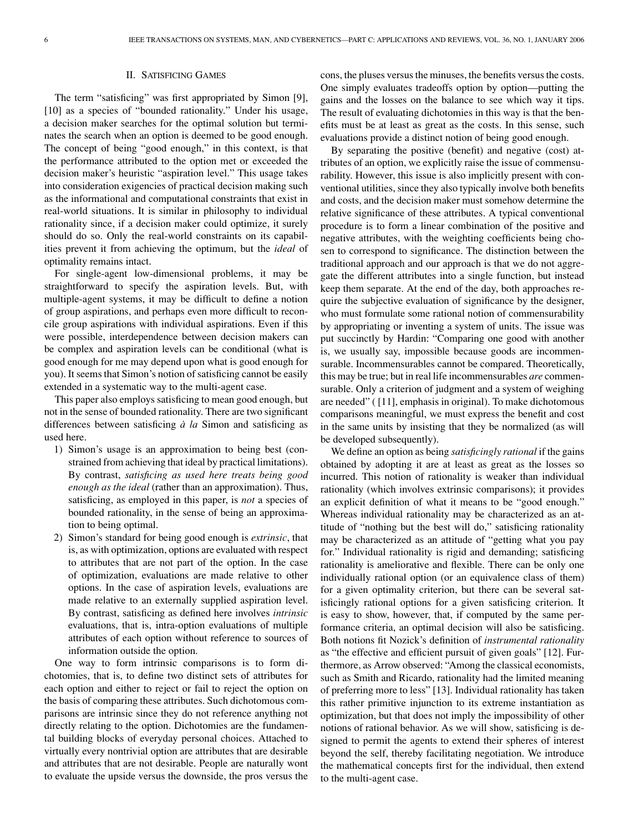### II. SATISFICING GAMES

The term "satisficing" was first appropriated by Simon [9], [10] as a species of "bounded rationality." Under his usage, a decision maker searches for the optimal solution but terminates the search when an option is deemed to be good enough. The concept of being "good enough," in this context, is that the performance attributed to the option met or exceeded the decision maker's heuristic "aspiration level." This usage takes into consideration exigencies of practical decision making such as the informational and computational constraints that exist in real-world situations. It is similar in philosophy to individual rationality since, if a decision maker could optimize, it surely should do so. Only the real-world constraints on its capabilities prevent it from achieving the optimum, but the *ideal* of optimality remains intact.

For single-agent low-dimensional problems, it may be straightforward to specify the aspiration levels. But, with multiple-agent systems, it may be difficult to define a notion of group aspirations, and perhaps even more difficult to reconcile group aspirations with individual aspirations. Even if this were possible, interdependence between decision makers can be complex and aspiration levels can be conditional (what is good enough for me may depend upon what is good enough for you). It seems that Simon's notion of satisficing cannot be easily extended in a systematic way to the multi-agent case.

This paper also employs satisficing to mean good enough, but not in the sense of bounded rationality. There are two significant differences between satisficing  $\dot{a}$  *la* Simon and satisficing as used here.

- 1) Simon's usage is an approximation to being best (constrained from achieving that ideal by practical limitations). By contrast, *satisficing as used here treats being good enough as the ideal* (rather than an approximation). Thus, satisficing, as employed in this paper, is *not* a species of bounded rationality, in the sense of being an approximation to being optimal.
- 2) Simon's standard for being good enough is *extrinsic*, that is, as with optimization, options are evaluated with respect to attributes that are not part of the option. In the case of optimization, evaluations are made relative to other options. In the case of aspiration levels, evaluations are made relative to an externally supplied aspiration level. By contrast, satisficing as defined here involves *intrinsic* evaluations, that is, intra-option evaluations of multiple attributes of each option without reference to sources of information outside the option.

One way to form intrinsic comparisons is to form dichotomies, that is, to define two distinct sets of attributes for each option and either to reject or fail to reject the option on the basis of comparing these attributes. Such dichotomous comparisons are intrinsic since they do not reference anything not directly relating to the option. Dichotomies are the fundamental building blocks of everyday personal choices. Attached to virtually every nontrivial option are attributes that are desirable and attributes that are not desirable. People are naturally wont to evaluate the upside versus the downside, the pros versus the cons, the pluses versus the minuses, the benefits versus the costs. One simply evaluates tradeoffs option by option—putting the gains and the losses on the balance to see which way it tips. The result of evaluating dichotomies in this way is that the benefits must be at least as great as the costs. In this sense, such evaluations provide a distinct notion of being good enough.

By separating the positive (benefit) and negative (cost) attributes of an option, we explicitly raise the issue of commensurability. However, this issue is also implicitly present with conventional utilities, since they also typically involve both benefits and costs, and the decision maker must somehow determine the relative significance of these attributes. A typical conventional procedure is to form a linear combination of the positive and negative attributes, with the weighting coefficients being chosen to correspond to significance. The distinction between the traditional approach and our approach is that we do not aggregate the different attributes into a single function, but instead keep them separate. At the end of the day, both approaches require the subjective evaluation of significance by the designer, who must formulate some rational notion of commensurability by appropriating or inventing a system of units. The issue was put succinctly by Hardin: "Comparing one good with another is, we usually say, impossible because goods are incommensurable. Incommensurables cannot be compared. Theoretically, this may be true; but in real life incommensurables *are* commensurable. Only a criterion of judgment and a system of weighing are needed" ( [11], emphasis in original). To make dichotomous comparisons meaningful, we must express the benefit and cost in the same units by insisting that they be normalized (as will be developed subsequently).

We define an option as being *satisficingly rational* if the gains obtained by adopting it are at least as great as the losses so incurred. This notion of rationality is weaker than individual rationality (which involves extrinsic comparisons); it provides an explicit definition of what it means to be "good enough." Whereas individual rationality may be characterized as an attitude of "nothing but the best will do," satisficing rationality may be characterized as an attitude of "getting what you pay for." Individual rationality is rigid and demanding; satisficing rationality is ameliorative and flexible. There can be only one individually rational option (or an equivalence class of them) for a given optimality criterion, but there can be several satisficingly rational options for a given satisficing criterion. It is easy to show, however, that, if computed by the same performance criteria, an optimal decision will also be satisficing. Both notions fit Nozick's definition of *instrumental rationality* as "the effective and efficient pursuit of given goals" [12]. Furthermore, as Arrow observed: "Among the classical economists, such as Smith and Ricardo, rationality had the limited meaning of preferring more to less" [13]. Individual rationality has taken this rather primitive injunction to its extreme instantiation as optimization, but that does not imply the impossibility of other notions of rational behavior. As we will show, satisficing is designed to permit the agents to extend their spheres of interest beyond the self, thereby facilitating negotiation. We introduce the mathematical concepts first for the individual, then extend to the multi-agent case.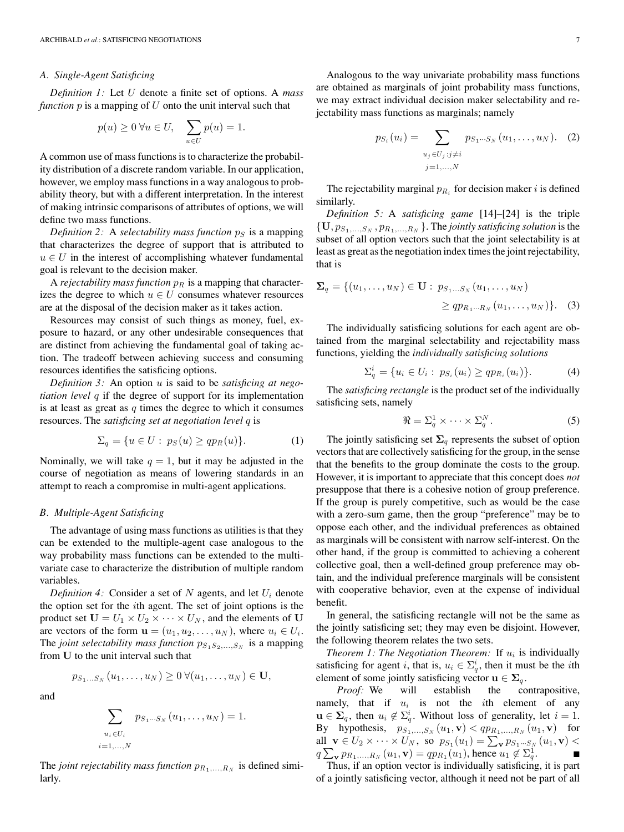## *A. Single-Agent Satisficing*

*Definition 1:* Let U denote a finite set of options. A *mass function* p is a mapping of U onto the unit interval such that

$$
p(u)\geq 0 \ \forall u\in U, \quad \sum_{u\in U} p(u)=1.
$$

A common use of mass functions is to characterize the probability distribution of a discrete random variable. In our application, however, we employ mass functions in a way analogous to probability theory, but with a different interpretation. In the interest of making intrinsic comparisons of attributes of options, we will define two mass functions.

*Definition 2:* A *selectability mass function*  $p<sub>S</sub>$  is a mapping that characterizes the degree of support that is attributed to  $u \in U$  in the interest of accomplishing whatever fundamental goal is relevant to the decision maker.

A *rejectability mass function*  $p<sub>R</sub>$  is a mapping that characterizes the degree to which  $u \in U$  consumes whatever resources are at the disposal of the decision maker as it takes action.

Resources may consist of such things as money, fuel, exposure to hazard, or any other undesirable consequences that are distinct from achieving the fundamental goal of taking action. The tradeoff between achieving success and consuming resources identifies the satisficing options.

*Definition 3:* An option u is said to be *satisficing at negotiation level* q if the degree of support for its implementation is at least as great as  $q$  times the degree to which it consumes resources. The *satisficing set at negotiation level* q is

$$
\Sigma_q = \{ u \in U : \ p_S(u) \ge q p_R(u) \}. \tag{1}
$$

Nominally, we will take  $q = 1$ , but it may be adjusted in the course of negotiation as means of lowering standards in an attempt to reach a compromise in multi-agent applications.

## *B. Multiple-Agent Satisficing*

and

The advantage of using mass functions as utilities is that they can be extended to the multiple-agent case analogous to the way probability mass functions can be extended to the multivariate case to characterize the distribution of multiple random variables.

*Definition 4:* Consider a set of N agents, and let  $U_i$  denote the option set for the ith agent. The set of joint options is the product set  $U = U_1 \times U_2 \times \cdots \times U_N$ , and the elements of U are vectors of the form  $\mathbf{u} = (u_1, u_2, \dots, u_N)$ , where  $u_i \in U_i$ . The *joint selectability mass function*  $p_{S_1S_2,...,S_N}$  is a mapping from **U** to the unit interval such that

$$
p_{S_1...S_N}(u_1,\ldots,u_N)\geq 0 \ \forall (u_1,\ldots,u_N)\in U,
$$

 $\sum$  $u_i \in U_i$  $i=1,\ldots,N$  $p_{S_1\cdots S_N}(u_1,\ldots,u_N)=1.$ 

The *joint rejectability mass function*  $p_{R_1,...,R_N}$  is defined similarly.

Analogous to the way univariate probability mass functions are obtained as marginals of joint probability mass functions, we may extract individual decision maker selectability and rejectability mass functions as marginals; namely

$$
p_{S_i}(u_i) = \sum_{\substack{u_j \in U_j : j \neq i \\ j = 1, ..., N}} p_{S_1 \cdots S_N}(u_1, \ldots, u_N). \quad (2)
$$

The rejectability marginal  $p_{R_i}$  for decision maker i is defined similarly.

*Definition 5:* A *satisficing game* [14]–[24] is the triple  ${\bf \{U,} p_{S_1,...,S_N}, p_{R_1,...,R_N}$ . The *jointly satisficing solution* is the subset of all option vectors such that the joint selectability is at least as great as the negotiation index times the joint rejectability, that is

$$
\Sigma_q = \{(u_1, \ldots, u_N) \in \mathbf{U} : p_{S_1 \ldots S_N} (u_1, \ldots, u_N) \ge q p_{R_1 \cdots R_N} (u_1, \ldots, u_N) \}.
$$
 (3)

The individually satisficing solutions for each agent are obtained from the marginal selectability and rejectability mass functions, yielding the *individually satisficing solutions*

$$
\Sigma_q^i = \{ u_i \in U_i : \ p_{S_i}(u_i) \ge q p_{R_i}(u_i) \}.
$$
 (4)

The *satisficing rectangle* is the product set of the individually satisficing sets, namely

$$
\Re = \Sigma_q^1 \times \cdots \times \Sigma_q^N.
$$
 (5)

The jointly satisficing set  $\Sigma_q$  represents the subset of option vectors that are collectively satisficing for the group, in the sense that the benefits to the group dominate the costs to the group. However, it is important to appreciate that this concept does *not* presuppose that there is a cohesive notion of group preference. If the group is purely competitive, such as would be the case with a zero-sum game, then the group "preference" may be to oppose each other, and the individual preferences as obtained as marginals will be consistent with narrow self-interest. On the other hand, if the group is committed to achieving a coherent collective goal, then a well-defined group preference may obtain, and the individual preference marginals will be consistent with cooperative behavior, even at the expense of individual benefit.

In general, the satisficing rectangle will not be the same as the jointly satisficing set; they may even be disjoint. However, the following theorem relates the two sets.

*Theorem 1: The Negotiation Theorem:* If  $u_i$  is individually satisficing for agent i, that is,  $u_i \in \sum_q^i$ , then it must be the ith element of some jointly satisficing vector  $\mathbf{u} \in \Sigma_q$ .

*Proof:* We will establish the contrapositive, namely, that if  $u_i$  is not the *i*th element of any  $\mathbf{u} \in \mathbf{\Sigma}_q$ , then  $u_i \notin \Sigma_q^i$ . Without loss of generality, let  $i = 1$ . By hypothesis,  $p_{S_1,...,S_N}(u_1, \mathbf{v}) < qp_{R_1,...,R_N}(u_1, \mathbf{v})$  for all  $\mathbf{v} \in U_2 \times \cdots \times U_N$ , so  $p_{S_1}(u_1) = \sum_{\mathbf{v}} p_{S_1 \cdots S_N}(u_1, \mathbf{v})$  $q \sum_{\mathbf{v}} p_{R_1,...,R_N}(u_1, \mathbf{v}) = qp_{R_1}(u_1)$ , hence  $u_1 \notin \Sigma_q^1$ .

Thus, if an option vector is individually satisficing, it is part of a jointly satisficing vector, although it need not be part of all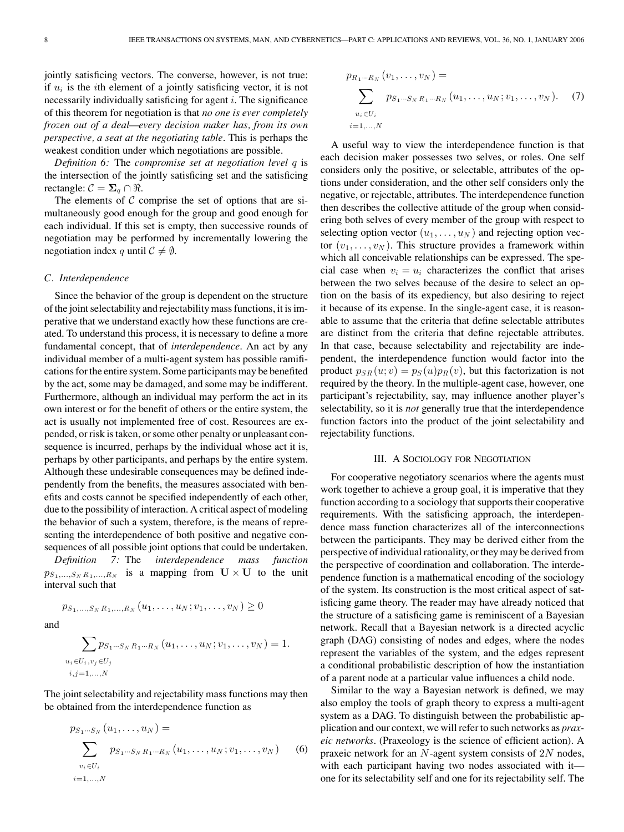jointly satisficing vectors. The converse, however, is not true: if  $u_i$  is the *i*th element of a jointly satisficing vector, it is not necessarily individually satisficing for agent  $i$ . The significance of this theorem for negotiation is that *no one is ever completely frozen out of a deal—every decision maker has, from its own perspective, a seat at the negotiating table*. This is perhaps the weakest condition under which negotiations are possible.

*Definition 6:* The *compromise set at negotiation level* q is the intersection of the jointly satisficing set and the satisficing rectangle:  $C = \Sigma_a \cap \Re$ .

The elements of  $C$  comprise the set of options that are simultaneously good enough for the group and good enough for each individual. If this set is empty, then successive rounds of negotiation may be performed by incrementally lowering the negotiation index q until  $C \neq \emptyset$ .

## *C. Interdependence*

Since the behavior of the group is dependent on the structure of the joint selectability and rejectability mass functions, it is imperative that we understand exactly how these functions are created. To understand this process, it is necessary to define a more fundamental concept, that of *interdependence*. An act by any individual member of a multi-agent system has possible ramifications for the entire system. Some participants may be benefited by the act, some may be damaged, and some may be indifferent. Furthermore, although an individual may perform the act in its own interest or for the benefit of others or the entire system, the act is usually not implemented free of cost. Resources are expended, or risk is taken, or some other penalty or unpleasant consequence is incurred, perhaps by the individual whose act it is, perhaps by other participants, and perhaps by the entire system. Although these undesirable consequences may be defined independently from the benefits, the measures associated with benefits and costs cannot be specified independently of each other, due to the possibility of interaction. A critical aspect of modeling the behavior of such a system, therefore, is the means of representing the interdependence of both positive and negative consequences of all possible joint options that could be undertaken.

*Definition 7:* The *interdependence mass function*  $p_{S_1,...,S_N R_1,...,R_N}$  is a mapping from  $\mathbf{U} \times \mathbf{U}$  to the unit interval such that

and

$$
p_{S_1,...,S_N R_1,...,R_N}(u_1,...,u_N; v_1,...,v_N) \ge 0
$$

$$
\sum_{\substack{u_i \in U_i, v_j \in U_j}} p_{S_1 \cdots S_N R_1 \cdots R_N} (u_1, \ldots, u_N; v_1, \ldots, v_N) = 1.
$$
  
*i,j*=1,...,*N*

The joint selectability and rejectability mass functions may then be obtained from the interdependence function as

$$
p_{S_1\cdots S_N}(u_1,\ldots,u_N) = \sum_{v_i \in U_i} p_{S_1\cdots S_N R_1\cdots R_N}(u_1,\ldots,u_N; v_1,\ldots,v_N)
$$
 (6)  

$$
\sum_{v_i \in U_i} p_{S_1\cdots S_N R_1\cdots R_N}(u_1,\ldots,u_N; v_1,\ldots,v_N)
$$

$$
p_{R_1\cdots R_N}(v_1,\ldots,v_N) = \sum_{\substack{u_i \in U_i \\ u_i \in U_i}} p_{S_1\cdots S_N R_1\cdots R_N}(u_1,\ldots,u_N;v_1,\ldots,v_N). \quad (7)
$$

A useful way to view the interdependence function is that each decision maker possesses two selves, or roles. One self considers only the positive, or selectable, attributes of the options under consideration, and the other self considers only the negative, or rejectable, attributes. The interdependence function then describes the collective attitude of the group when considering both selves of every member of the group with respect to selecting option vector  $(u_1, \ldots, u_N)$  and rejecting option vector  $(v_1, \ldots, v_N)$ . This structure provides a framework within which all conceivable relationships can be expressed. The special case when  $v_i = u_i$  characterizes the conflict that arises between the two selves because of the desire to select an option on the basis of its expediency, but also desiring to reject it because of its expense. In the single-agent case, it is reasonable to assume that the criteria that define selectable attributes are distinct from the criteria that define rejectable attributes. In that case, because selectability and rejectability are independent, the interdependence function would factor into the product  $p_{SR}(u; v) = p_S(u)p_R(v)$ , but this factorization is not required by the theory. In the multiple-agent case, however, one participant's rejectability, say, may influence another player's selectability, so it is *not* generally true that the interdependence function factors into the product of the joint selectability and rejectability functions.

## III. A SOCIOLOGY FOR NEGOTIATION

For cooperative negotiatory scenarios where the agents must work together to achieve a group goal, it is imperative that they function according to a sociology that supports their cooperative requirements. With the satisficing approach, the interdependence mass function characterizes all of the interconnections between the participants. They may be derived either from the perspective of individual rationality, or they may be derived from the perspective of coordination and collaboration. The interdependence function is a mathematical encoding of the sociology of the system. Its construction is the most critical aspect of satisficing game theory. The reader may have already noticed that the structure of a satisficing game is reminiscent of a Bayesian network. Recall that a Bayesian network is a directed acyclic graph (DAG) consisting of nodes and edges, where the nodes represent the variables of the system, and the edges represent a conditional probabilistic description of how the instantiation of a parent node at a particular value influences a child node.

Similar to the way a Bayesian network is defined, we may also employ the tools of graph theory to express a multi-agent system as a DAG. To distinguish between the probabilistic application and our context, we will refer to such networks as *praxeic networks*. (Praxeology is the science of efficient action). A praxeic network for an N-agent system consists of 2N nodes, with each participant having two nodes associated with it one for its selectability self and one for its rejectability self. The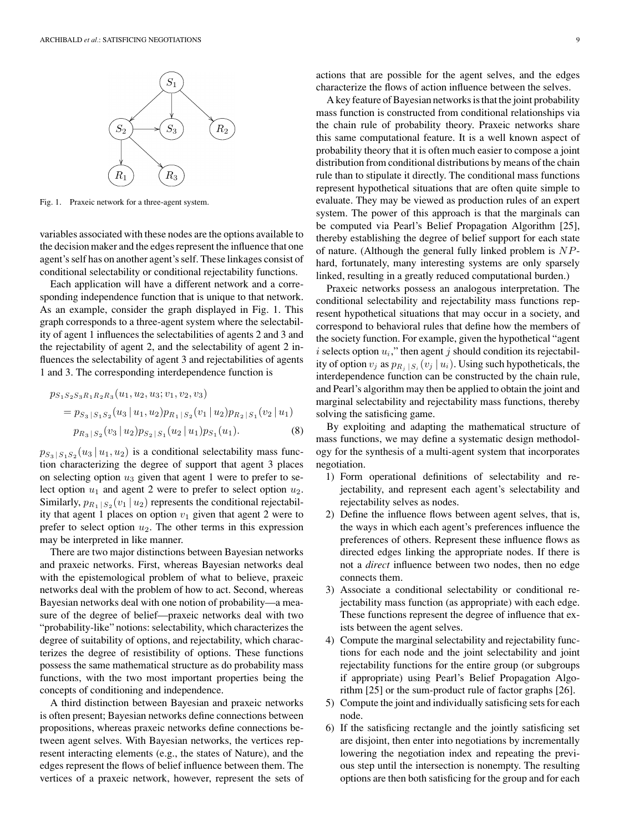

Fig. 1. Praxeic network for a three-agent system.

variables associated with these nodes are the options available to the decision maker and the edges represent the influence that one agent's self has on another agent's self. These linkages consist of conditional selectability or conditional rejectability functions.

Each application will have a different network and a corresponding independence function that is unique to that network. As an example, consider the graph displayed in Fig. 1. This graph corresponds to a three-agent system where the selectability of agent 1 influences the selectabilities of agents 2 and 3 and the rejectability of agent 2, and the selectability of agent 2 influences the selectability of agent 3 and rejectabilities of agents 1 and 3. The corresponding interdependence function is

$$
p_{S_1 S_2 S_3 R_1 R_2 R_3}(u_1, u_2, u_3; v_1, v_2, v_3)
$$
  
=  $p_{S_3|S_1 S_2}(u_3|u_1, u_2)p_{R_1|S_2}(v_1|u_2)p_{R_2|S_1}(v_2|u_1)$   
 $p_{R_3|S_2}(v_3|u_2)p_{S_2|S_1}(u_2|u_1)p_{S_1}(u_1).$  (8)

 $p_{S_3|S_1S_2}(u_3|u_1,u_2)$  is a conditional selectability mass function characterizing the degree of support that agent 3 places on selecting option  $u_3$  given that agent 1 were to prefer to select option  $u_1$  and agent 2 were to prefer to select option  $u_2$ . Similarly,  $p_{R_1|S_2}(v_1 | u_2)$  represents the conditional rejectability that agent 1 places on option  $v_1$  given that agent 2 were to prefer to select option  $u_2$ . The other terms in this expression may be interpreted in like manner.

There are two major distinctions between Bayesian networks and praxeic networks. First, whereas Bayesian networks deal with the epistemological problem of what to believe, praxeic networks deal with the problem of how to act. Second, whereas Bayesian networks deal with one notion of probability—a measure of the degree of belief—praxeic networks deal with two "probability-like" notions: selectability, which characterizes the degree of suitability of options, and rejectability, which characterizes the degree of resistibility of options. These functions possess the same mathematical structure as do probability mass functions, with the two most important properties being the concepts of conditioning and independence.

A third distinction between Bayesian and praxeic networks is often present; Bayesian networks define connections between propositions, whereas praxeic networks define connections between agent selves. With Bayesian networks, the vertices represent interacting elements (e.g., the states of Nature), and the edges represent the flows of belief influence between them. The vertices of a praxeic network, however, represent the sets of

A key feature of Bayesian networks is that the joint probability mass function is constructed from conditional relationships via the chain rule of probability theory. Praxeic networks share this same computational feature. It is a well known aspect of probability theory that it is often much easier to compose a joint distribution from conditional distributions by means of the chain rule than to stipulate it directly. The conditional mass functions represent hypothetical situations that are often quite simple to evaluate. They may be viewed as production rules of an expert system. The power of this approach is that the marginals can be computed via Pearl's Belief Propagation Algorithm [25], thereby establishing the degree of belief support for each state of nature. (Although the general fully linked problem is  $NP$ hard, fortunately, many interesting systems are only sparsely linked, resulting in a greatly reduced computational burden.)

Praxeic networks possess an analogous interpretation. The conditional selectability and rejectability mass functions represent hypothetical situations that may occur in a society, and correspond to behavioral rules that define how the members of the society function. For example, given the hypothetical "agent i selects option  $u_i$ ," then agent j should condition its rejectability of option  $v_j$  as  $p_{R_i | S_i}(v_j | u_i)$ . Using such hypotheticals, the interdependence function can be constructed by the chain rule, and Pearl's algorithm may then be applied to obtain the joint and marginal selectability and rejectability mass functions, thereby solving the satisficing game.

By exploiting and adapting the mathematical structure of mass functions, we may define a systematic design methodology for the synthesis of a multi-agent system that incorporates negotiation.

- 1) Form operational definitions of selectability and rejectability, and represent each agent's selectability and rejectability selves as nodes.
- 2) Define the influence flows between agent selves, that is, the ways in which each agent's preferences influence the preferences of others. Represent these influence flows as directed edges linking the appropriate nodes. If there is not a *direct* influence between two nodes, then no edge connects them.
- 3) Associate a conditional selectability or conditional rejectability mass function (as appropriate) with each edge. These functions represent the degree of influence that exists between the agent selves.
- 4) Compute the marginal selectability and rejectability functions for each node and the joint selectability and joint rejectability functions for the entire group (or subgroups if appropriate) using Pearl's Belief Propagation Algorithm [25] or the sum-product rule of factor graphs [26].
- 5) Compute the joint and individually satisficing sets for each node.
- 6) If the satisficing rectangle and the jointly satisficing set are disjoint, then enter into negotiations by incrementally lowering the negotiation index and repeating the previous step until the intersection is nonempty. The resulting options are then both satisficing for the group and for each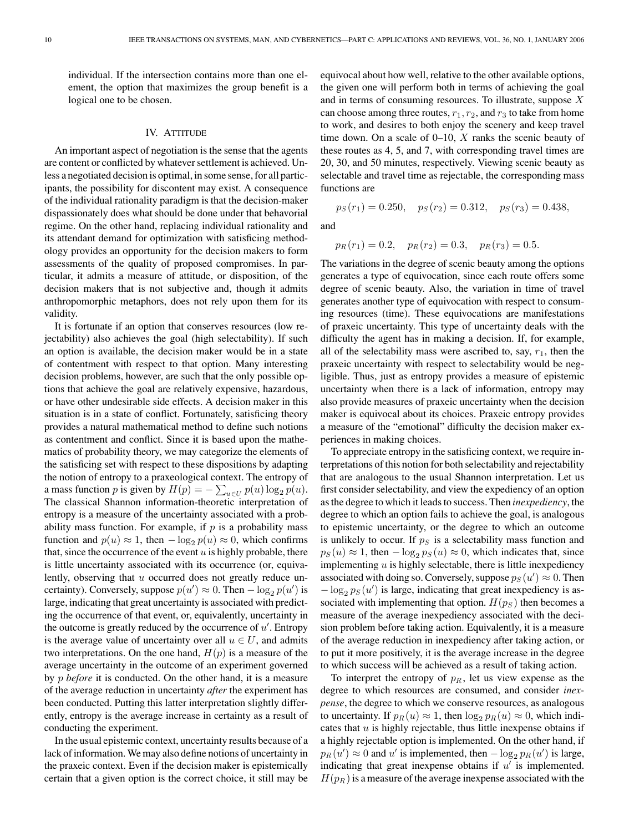individual. If the intersection contains more than one element, the option that maximizes the group benefit is a logical one to be chosen.

## IV. ATTITUDE

An important aspect of negotiation is the sense that the agents are content or conflicted by whatever settlement is achieved. Unless a negotiated decision is optimal, in some sense, for all participants, the possibility for discontent may exist. A consequence of the individual rationality paradigm is that the decision-maker dispassionately does what should be done under that behavorial regime. On the other hand, replacing individual rationality and its attendant demand for optimization with satisficing methodology provides an opportunity for the decision makers to form assessments of the quality of proposed compromises. In particular, it admits a measure of attitude, or disposition, of the decision makers that is not subjective and, though it admits anthropomorphic metaphors, does not rely upon them for its validity.

It is fortunate if an option that conserves resources (low rejectability) also achieves the goal (high selectability). If such an option is available, the decision maker would be in a state of contentment with respect to that option. Many interesting decision problems, however, are such that the only possible options that achieve the goal are relatively expensive, hazardous, or have other undesirable side effects. A decision maker in this situation is in a state of conflict. Fortunately, satisficing theory provides a natural mathematical method to define such notions as contentment and conflict. Since it is based upon the mathematics of probability theory, we may categorize the elements of the satisficing set with respect to these dispositions by adapting the notion of entropy to a praxeological context. The entropy of a mass function p is given by  $H(p) = -\sum_{u \in U} p(u) \log_2 p(u)$ . The classical Shannon information-theoretic interpretation of entropy is a measure of the uncertainty associated with a probability mass function. For example, if  $p$  is a probability mass function and  $p(u) \approx 1$ , then  $-\log_2 p(u) \approx 0$ , which confirms that, since the occurrence of the event  $u$  is highly probable, there is little uncertainty associated with its occurrence (or, equivalently, observing that u occurred does not greatly reduce uncertainty). Conversely, suppose  $p(u') \approx 0$ . Then  $-\log_2 p(u')$  is large, indicating that great uncertainty is associated with predicting the occurrence of that event, or, equivalently, uncertainty in the outcome is greatly reduced by the occurrence of  $u'$ . Entropy is the average value of uncertainty over all  $u \in U$ , and admits two interpretations. On the one hand,  $H(p)$  is a measure of the average uncertainty in the outcome of an experiment governed by p *before* it is conducted. On the other hand, it is a measure of the average reduction in uncertainty *after* the experiment has been conducted. Putting this latter interpretation slightly differently, entropy is the average increase in certainty as a result of conducting the experiment.

In the usual epistemic context, uncertainty results because of a lack of information. We may also define notions of uncertainty in the praxeic context. Even if the decision maker is epistemically certain that a given option is the correct choice, it still may be equivocal about how well, relative to the other available options, the given one will perform both in terms of achieving the goal and in terms of consuming resources. To illustrate, suppose X can choose among three routes,  $r_1, r_2$ , and  $r_3$  to take from home to work, and desires to both enjoy the scenery and keep travel time down. On a scale of  $0-10$ , X ranks the scenic beauty of these routes as 4, 5, and 7, with corresponding travel times are 20, 30, and 50 minutes, respectively. Viewing scenic beauty as selectable and travel time as rejectable, the corresponding mass functions are

 $p_S(r_1)=0.250$ ,  $p_S(r_2)=0.312$ ,  $p_S(r_3)=0.438$ ,

and

$$
p_R(r_1) = 0.2
$$
,  $p_R(r_2) = 0.3$ ,  $p_R(r_3) = 0.5$ .

The variations in the degree of scenic beauty among the options generates a type of equivocation, since each route offers some degree of scenic beauty. Also, the variation in time of travel generates another type of equivocation with respect to consuming resources (time). These equivocations are manifestations of praxeic uncertainty. This type of uncertainty deals with the difficulty the agent has in making a decision. If, for example, all of the selectability mass were ascribed to, say,  $r_1$ , then the praxeic uncertainty with respect to selectability would be negligible. Thus, just as entropy provides a measure of epistemic uncertainty when there is a lack of information, entropy may also provide measures of praxeic uncertainty when the decision maker is equivocal about its choices. Praxeic entropy provides a measure of the "emotional" difficulty the decision maker experiences in making choices.

To appreciate entropy in the satisficing context, we require interpretations of this notion for both selectability and rejectability that are analogous to the usual Shannon interpretation. Let us first consider selectability, and view the expediency of an option as the degree to which it leads to success. Then *inexpediency*, the degree to which an option fails to achieve the goal, is analogous to epistemic uncertainty, or the degree to which an outcome is unlikely to occur. If  $p<sub>S</sub>$  is a selectability mass function and  $p_S(u) \approx 1$ , then  $-\log_2 p_S(u) \approx 0$ , which indicates that, since implementing  $u$  is highly selectable, there is little inexpediency associated with doing so. Conversely, suppose  $p_S(u') \approx 0$ . Then  $-\log_2 p_S(u')$  is large, indicating that great inexpediency is associated with implementing that option.  $H(p_S)$  then becomes a measure of the average inexpediency associated with the decision problem before taking action. Equivalently, it is a measure of the average reduction in inexpediency after taking action, or to put it more positively, it is the average increase in the degree to which success will be achieved as a result of taking action.

To interpret the entropy of  $p<sub>R</sub>$ , let us view expense as the degree to which resources are consumed, and consider *inexpense*, the degree to which we conserve resources, as analogous to uncertainty. If  $p_R(u) \approx 1$ , then  $\log_2 p_R(u) \approx 0$ , which indicates that  $u$  is highly rejectable, thus little inexpense obtains if a highly rejectable option is implemented. On the other hand, if  $p_R(u') \approx 0$  and u' is implemented, then  $-\log_2 p_R(u')$  is large, indicating that great inexpense obtains if  $u'$  is implemented.  $H(p_R)$  is a measure of the average inexpense associated with the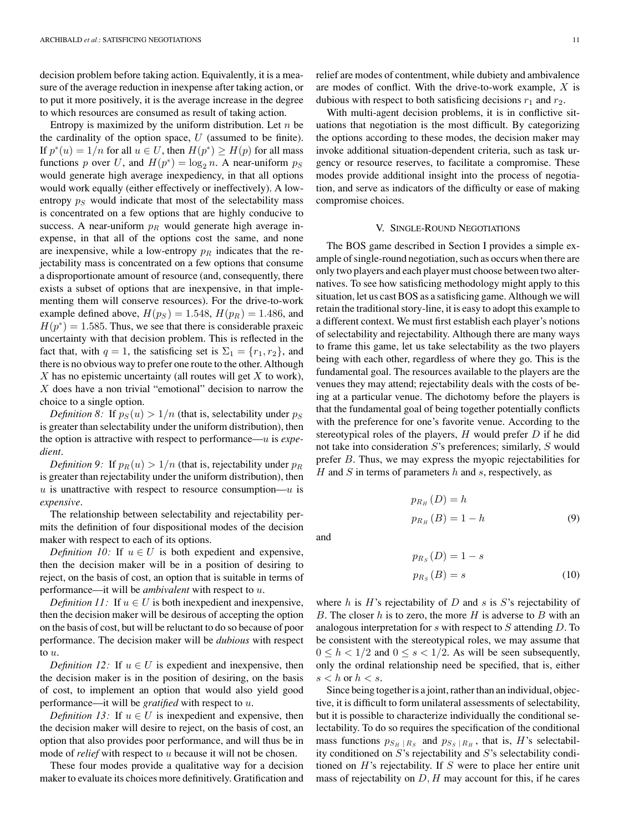decision problem before taking action. Equivalently, it is a measure of the average reduction in inexpense after taking action, or to put it more positively, it is the average increase in the degree to which resources are consumed as result of taking action.

Entropy is maximized by the uniform distribution. Let  $n$  be the cardinality of the option space,  $U$  (assumed to be finite). If  $p^*(u)=1/n$  for all  $u \in U$ , then  $H(p^*) \geq H(p)$  for all mass functions p over U, and  $H(p^*) = \log_2 n$ . A near-uniform  $p_S$ would generate high average inexpediency, in that all options would work equally (either effectively or ineffectively). A lowentropy  $p_S$  would indicate that most of the selectability mass is concentrated on a few options that are highly conducive to success. A near-uniform  $p_R$  would generate high average inexpense, in that all of the options cost the same, and none are inexpensive, while a low-entropy  $p_R$  indicates that the rejectability mass is concentrated on a few options that consume a disproportionate amount of resource (and, consequently, there exists a subset of options that are inexpensive, in that implementing them will conserve resources). For the drive-to-work example defined above,  $H(p_S) = 1.548$ ,  $H(p_R) = 1.486$ , and  $H(p^*)=1.585$ . Thus, we see that there is considerable praxeic uncertainty with that decision problem. This is reflected in the fact that, with  $q = 1$ , the satisficing set is  $\Sigma_1 = \{r_1, r_2\}$ , and there is no obvious way to prefer one route to the other. Although  $X$  has no epistemic uncertainty (all routes will get  $X$  to work),  $X$  does have a non trivial "emotional" decision to narrow the choice to a single option.

*Definition 8:* If  $p_S(u) > 1/n$  (that is, selectability under  $p_S$ is greater than selectability under the uniform distribution), then the option is attractive with respect to performance—u is *expedient*.

*Definition 9:* If  $p_R(u) > 1/n$  (that is, rejectability under  $p_R$ is greater than rejectability under the uniform distribution), then  $u$  is unattractive with respect to resource consumption— $u$  is *expensive*.

The relationship between selectability and rejectability permits the definition of four dispositional modes of the decision maker with respect to each of its options.

*Definition 10:* If  $u \in U$  is both expedient and expensive, then the decision maker will be in a position of desiring to reject, on the basis of cost, an option that is suitable in terms of performance—it will be *ambivalent* with respect to u.

*Definition 11:* If  $u \in U$  is both inexpedient and inexpensive, then the decision maker will be desirous of accepting the option on the basis of cost, but will be reluctant to do so because of poor performance. The decision maker will be *dubious* with respect to u.

*Definition 12:* If  $u \in U$  is expedient and inexpensive, then the decision maker is in the position of desiring, on the basis of cost, to implement an option that would also yield good performance—it will be *gratified* with respect to u.

*Definition 13:* If  $u \in U$  is inexpedient and expensive, then the decision maker will desire to reject, on the basis of cost, an option that also provides poor performance, and will thus be in mode of *relief* with respect to u because it will not be chosen.

These four modes provide a qualitative way for a decision maker to evaluate its choices more definitively. Gratification and relief are modes of contentment, while dubiety and ambivalence are modes of conflict. With the drive-to-work example,  $X$  is dubious with respect to both satisficing decisions  $r_1$  and  $r_2$ .

With multi-agent decision problems, it is in conflictive situations that negotiation is the most difficult. By categorizing the options according to these modes, the decision maker may invoke additional situation-dependent criteria, such as task urgency or resource reserves, to facilitate a compromise. These modes provide additional insight into the process of negotiation, and serve as indicators of the difficulty or ease of making compromise choices.

#### V. SINGLE-ROUND NEGOTIATIONS

The BOS game described in Section I provides a simple example of single-round negotiation, such as occurs when there are only two players and each player must choose between two alternatives. To see how satisficing methodology might apply to this situation, let us cast BOS as a satisficing game. Although we will retain the traditional story-line, it is easy to adopt this example to a different context. We must first establish each player's notions of selectability and rejectability. Although there are many ways to frame this game, let us take selectability as the two players being with each other, regardless of where they go. This is the fundamental goal. The resources available to the players are the venues they may attend; rejectability deals with the costs of being at a particular venue. The dichotomy before the players is that the fundamental goal of being together potentially conflicts with the preference for one's favorite venue. According to the stereotypical roles of the players,  $H$  would prefer  $D$  if he did not take into consideration S's preferences; similarly, S would prefer B. Thus, we may express the myopic rejectabilities for H and S in terms of parameters h and s, respectively, as

$$
p_{R_H}(D) = h
$$
  
\n
$$
p_{R_H}(B) = 1 - h
$$
 (9)

$$
p_{R_S}(D) = 1 - s
$$
  
\n
$$
p_{R_S}(B) = s
$$
\n(10)

where  $h$  is  $H$ 's rejectability of  $D$  and  $s$  is  $S$ 's rejectability of B. The closer h is to zero, the more H is adverse to B with an analogous interpretation for s with respect to  $S$  attending  $D$ . To be consistent with the stereotypical roles, we may assume that  $0 \le h < 1/2$  and  $0 \le s < 1/2$ . As will be seen subsequently, only the ordinal relationship need be specified, that is, either  $s < h$  or  $h < s$ .

and

Since being together is a joint, rather than an individual, objective, it is difficult to form unilateral assessments of selectability, but it is possible to characterize individually the conditional selectability. To do so requires the specification of the conditional mass functions  $p_{S_H | R_S}$  and  $p_{S_S | R_H}$ , that is, H's selectability conditioned on S's rejectability and S's selectability conditioned on  $H$ 's rejectability. If  $S$  were to place her entire unit mass of rejectability on  $D, H$  may account for this, if he cares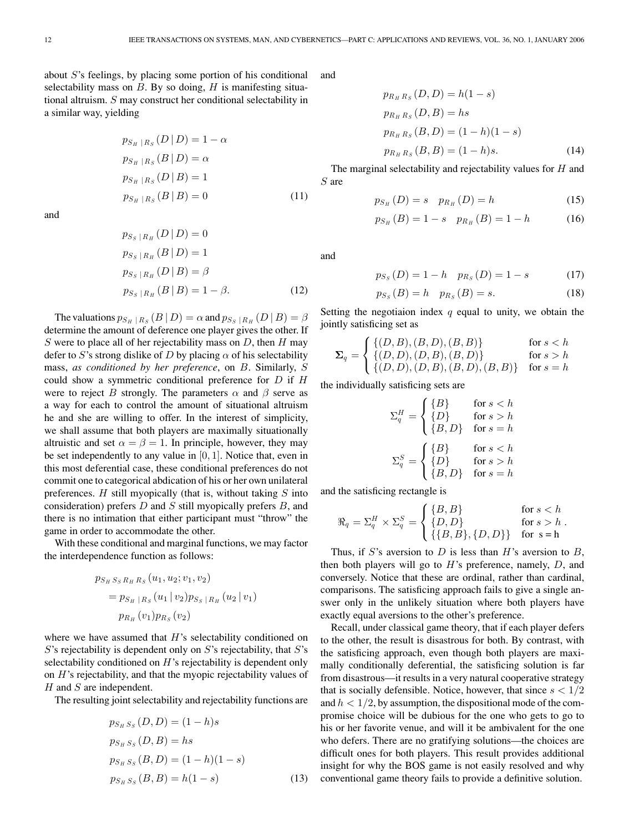about S's feelings, by placing some portion of his conditional selectability mass on  $B$ . By so doing,  $H$  is manifesting situational altruism. S may construct her conditional selectability in a similar way, yielding

$$
p_{S_H | R_S} (D | D) = 1 - \alpha
$$
  
\n
$$
p_{S_H | R_S} (B | D) = \alpha
$$
  
\n
$$
p_{S_H | R_S} (D | B) = 1
$$
  
\n
$$
p_{S_H | R_S} (B | B) = 0
$$
\n(11)

and

$$
p_{S_S | R_H} (D | D) = 0
$$
  
\n
$$
p_{S_S | R_H} (B | D) = 1
$$
  
\n
$$
p_{S_S | R_H} (D | B) = \beta
$$
  
\n
$$
p_{S_S | R_H} (B | B) = 1 - \beta.
$$
 (12)

The valuations  $p_{S_H | R_S}(B | D) = \alpha$  and  $p_{S_S | R_H}(D | B) = \beta$ determine the amount of deference one player gives the other. If S were to place all of her rejectability mass on  $D$ , then  $H$  may defer to S's strong dislike of D by placing  $\alpha$  of his selectability mass, *as conditioned by her preference*, on B. Similarly, S could show a symmetric conditional preference for  $D$  if  $H$ were to reject B strongly. The parameters  $\alpha$  and  $\beta$  serve as a way for each to control the amount of situational altruism he and she are willing to offer. In the interest of simplicity, we shall assume that both players are maximally situationally altruistic and set  $\alpha = \beta = 1$ . In principle, however, they may be set independently to any value in  $[0, 1]$ . Notice that, even in this most deferential case, these conditional preferences do not commit one to categorical abdication of his or her own unilateral preferences.  $H$  still myopically (that is, without taking  $S$  into consideration) prefers  $D$  and  $S$  still myopically prefers  $B$ , and there is no intimation that either participant must "throw" the game in order to accommodate the other.

With these conditional and marginal functions, we may factor the interdependence function as follows:

$$
p_{S_H \, S_S \, R_H \, R_S} \left( u_1, u_2; v_1, v_2 \right) \\ = p_{S_H \, | \, R_S} \left( u_1 \, | \, v_2 \right) p_{S_S \, | \, R_H} \left( u_2 \, | \, v_1 \right) \\ p_{R_H} \left( v_1 \right) p_{R_S} \left( v_2 \right)
$$

where we have assumed that  $H$ 's selectability conditioned on  $S$ 's rejectability is dependent only on  $S$ 's rejectability, that  $S$ 's selectability conditioned on H's rejectability is dependent only on H's rejectability, and that the myopic rejectability values of  $H$  and  $S$  are independent.

The resulting joint selectability and rejectability functions are

$$
p_{S_H S_S}(D, D) = (1 - h)s
$$
  
\n
$$
p_{S_H S_S}(D, B) = hs
$$
  
\n
$$
p_{S_H S_S}(B, D) = (1 - h)(1 - s)
$$
  
\n
$$
p_{S_H S_S}(B, B) = h(1 - s)
$$
\n(13)

and

$$
p_{R_H R_S}(D, D) = h(1 - s)
$$
  
\n
$$
p_{R_H R_S}(D, B) = h s
$$
  
\n
$$
p_{R_H R_S}(B, D) = (1 - h)(1 - s)
$$
  
\n
$$
p_{R_H R_S}(B, B) = (1 - h)s.
$$
 (14)

The marginal selectability and rejectability values for  $H$  and S are

$$
p_{S_H}(D) = s \quad p_{R_H}(D) = h \tag{15}
$$

$$
p_{S_H}(B) = 1 - s \quad p_{R_H}(B) = 1 - h \tag{16}
$$

and

$$
p_{S_S}(D) = 1 - h \quad p_{R_S}(D) = 1 - s \tag{17}
$$

$$
p_{S_S}(B) = h \quad p_{R_S}(B) = s. \tag{18}
$$

Setting the negotiaion index  $q$  equal to unity, we obtain the jointly satisficing set as

$$
\mathbf{\Sigma}_q = \begin{cases} \{(D, B), (B, D), (B, B)\} & \text{for } s < h \\ \{(D, D), (D, B), (B, D)\} & \text{for } s > h \\ \{(D, D), (D, B), (B, D), (B, B)\} & \text{for } s = h \end{cases}
$$

the individually satisficing sets are

$$
\Sigma_q^H = \begin{cases}\n\{B\} & \text{for } s < h \\
\{D\} & \text{for } s > h \\
\{B, D\} & \text{for } s = h\n\end{cases}
$$
\n
$$
\Sigma_q^S = \begin{cases}\n\{B\} & \text{for } s < h \\
\{D\} & \text{for } s > h \\
\{B, D\} & \text{for } s = h\n\end{cases}
$$

and the satisficing rectangle is

$$
\Re_q = \Sigma_q^H \times \Sigma_q^S = \begin{cases} \{B, B\} & \text{for } s < h \\ \{D, D\} & \text{for } s > h \\ \{\{B, B\}, \{D, D\}\} & \text{for } s = h \end{cases}.
$$

Thus, if S's aversion to D is less than  $H$ 's aversion to  $B$ , then both players will go to  $H$ 's preference, namely,  $D$ , and conversely. Notice that these are ordinal, rather than cardinal, comparisons. The satisficing approach fails to give a single answer only in the unlikely situation where both players have exactly equal aversions to the other's preference.

Recall, under classical game theory, that if each player defers to the other, the result is disastrous for both. By contrast, with the satisficing approach, even though both players are maximally conditionally deferential, the satisficing solution is far from disastrous—it results in a very natural cooperative strategy that is socially defensible. Notice, however, that since  $s < 1/2$ and  $h < 1/2$ , by assumption, the dispositional mode of the compromise choice will be dubious for the one who gets to go to his or her favorite venue, and will it be ambivalent for the one who defers. There are no gratifying solutions—the choices are difficult ones for both players. This result provides additional insight for why the BOS game is not easily resolved and why conventional game theory fails to provide a definitive solution.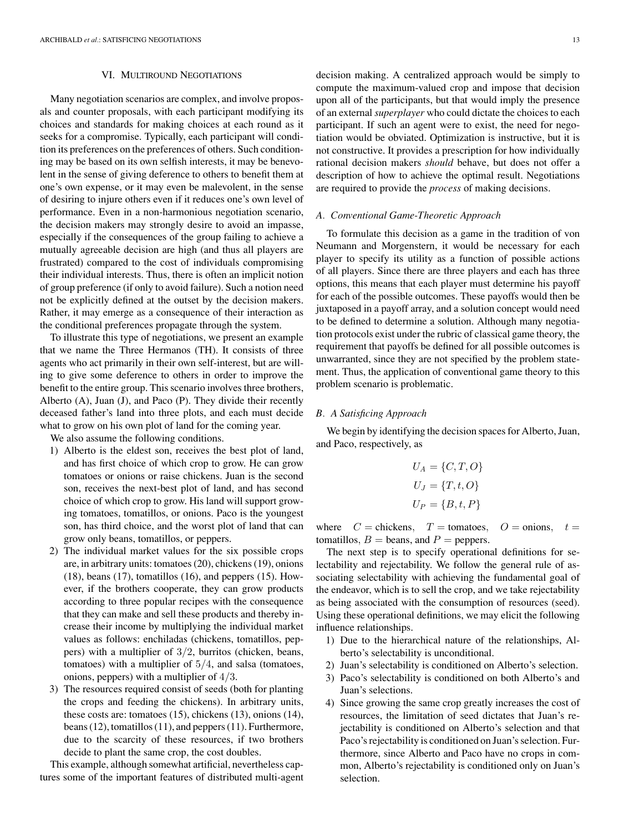#### VI. MULTIROUND NEGOTIATIONS

Many negotiation scenarios are complex, and involve proposals and counter proposals, with each participant modifying its choices and standards for making choices at each round as it seeks for a compromise. Typically, each participant will condition its preferences on the preferences of others. Such conditioning may be based on its own selfish interests, it may be benevolent in the sense of giving deference to others to benefit them at one's own expense, or it may even be malevolent, in the sense of desiring to injure others even if it reduces one's own level of performance. Even in a non-harmonious negotiation scenario, the decision makers may strongly desire to avoid an impasse, especially if the consequences of the group failing to achieve a mutually agreeable decision are high (and thus all players are frustrated) compared to the cost of individuals compromising their individual interests. Thus, there is often an implicit notion of group preference (if only to avoid failure). Such a notion need not be explicitly defined at the outset by the decision makers. Rather, it may emerge as a consequence of their interaction as the conditional preferences propagate through the system.

To illustrate this type of negotiations, we present an example that we name the Three Hermanos (TH). It consists of three agents who act primarily in their own self-interest, but are willing to give some deference to others in order to improve the benefit to the entire group. This scenario involves three brothers, Alberto (A), Juan (J), and Paco (P). They divide their recently deceased father's land into three plots, and each must decide what to grow on his own plot of land for the coming year.

We also assume the following conditions.

- 1) Alberto is the eldest son, receives the best plot of land, and has first choice of which crop to grow. He can grow tomatoes or onions or raise chickens. Juan is the second son, receives the next-best plot of land, and has second choice of which crop to grow. His land will support growing tomatoes, tomatillos, or onions. Paco is the youngest son, has third choice, and the worst plot of land that can grow only beans, tomatillos, or peppers.
- 2) The individual market values for the six possible crops are, in arbitrary units: tomatoes (20), chickens (19), onions  $(18)$ , beans  $(17)$ , tomatillos  $(16)$ , and peppers  $(15)$ . However, if the brothers cooperate, they can grow products according to three popular recipes with the consequence that they can make and sell these products and thereby increase their income by multiplying the individual market values as follows: enchiladas (chickens, tomatillos, peppers) with a multiplier of 3/2, burritos (chicken, beans, tomatoes) with a multiplier of  $5/4$ , and salsa (tomatoes, onions, peppers) with a multiplier of  $4/3$ .
- 3) The resources required consist of seeds (both for planting the crops and feeding the chickens). In arbitrary units, these costs are: tomatoes (15), chickens (13), onions (14), beans (12), tomatillos (11), and peppers (11). Furthermore, due to the scarcity of these resources, if two brothers decide to plant the same crop, the cost doubles.

This example, although somewhat artificial, nevertheless captures some of the important features of distributed multi-agent decision making. A centralized approach would be simply to compute the maximum-valued crop and impose that decision upon all of the participants, but that would imply the presence of an external *superplayer* who could dictate the choices to each participant. If such an agent were to exist, the need for negotiation would be obviated. Optimization is instructive, but it is not constructive. It provides a prescription for how individually rational decision makers *should* behave, but does not offer a description of how to achieve the optimal result. Negotiations are required to provide the *process* of making decisions.

#### *A. Conventional Game-Theoretic Approach*

To formulate this decision as a game in the tradition of von Neumann and Morgenstern, it would be necessary for each player to specify its utility as a function of possible actions of all players. Since there are three players and each has three options, this means that each player must determine his payoff for each of the possible outcomes. These payoffs would then be juxtaposed in a payoff array, and a solution concept would need to be defined to determine a solution. Although many negotiation protocols exist under the rubric of classical game theory, the requirement that payoffs be defined for all possible outcomes is unwarranted, since they are not specified by the problem statement. Thus, the application of conventional game theory to this problem scenario is problematic.

#### *B. A Satisficing Approach*

We begin by identifying the decision spaces for Alberto, Juan, and Paco, respectively, as

$$
U_A = \{C, T, O\}
$$

$$
U_J = \{T, t, O\}
$$

$$
U_P = \{B, t, P\}
$$

where  $C =$  chickens,  $T =$  tomatoes,  $Q =$  onions,  $t =$ tomatillos,  $B =$  beans, and  $P =$  peppers.

The next step is to specify operational definitions for selectability and rejectability. We follow the general rule of associating selectability with achieving the fundamental goal of the endeavor, which is to sell the crop, and we take rejectability as being associated with the consumption of resources (seed). Using these operational definitions, we may elicit the following influence relationships.

- 1) Due to the hierarchical nature of the relationships, Alberto's selectability is unconditional.
- 2) Juan's selectability is conditioned on Alberto's selection.
- 3) Paco's selectability is conditioned on both Alberto's and Juan's selections.
- 4) Since growing the same crop greatly increases the cost of resources, the limitation of seed dictates that Juan's rejectability is conditioned on Alberto's selection and that Paco's rejectability is conditioned on Juan's selection. Furthermore, since Alberto and Paco have no crops in common, Alberto's rejectability is conditioned only on Juan's selection.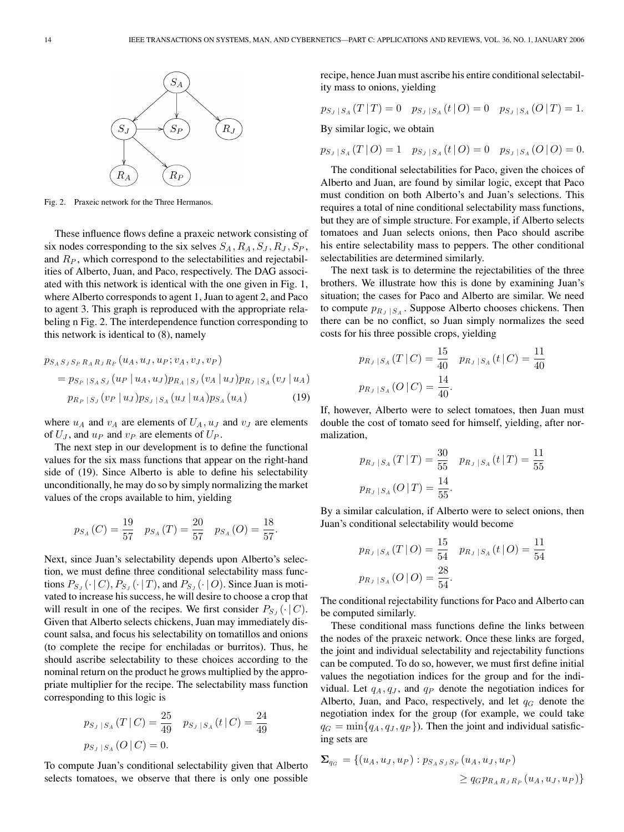

Fig. 2. Praxeic network for the Three Hermanos.

These influence flows define a praxeic network consisting of six nodes corresponding to the six selves  $S_A$ ,  $R_A$ ,  $S_J$ ,  $R_J$ ,  $S_P$ , and  $R<sub>P</sub>$ , which correspond to the selectabilities and rejectabilities of Alberto, Juan, and Paco, respectively. The DAG associated with this network is identical with the one given in Fig. 1, where Alberto corresponds to agent 1, Juan to agent 2, and Paco to agent 3. This graph is reproduced with the appropriate relabeling n Fig. 2. The interdependence function corresponding to this network is identical to (8), namely

$$
p_{S_A S_J S_P R_A R_J R_P} (u_A, u_J, u_P; v_A, v_J, v_P)
$$
  
=  $p_{S_P | S_A S_J} (u_P | u_A, u_J) p_{R_A | S_J} (v_A | u_J) p_{R_J | S_A} (v_J | u_A)$   
 $p_{R_P | S_J} (v_P | u_J) p_{S_J | S_A} (u_J | u_A) p_{S_A} (u_A)$  (19)

where  $u_A$  and  $v_A$  are elements of  $U_A$ ,  $u_J$  and  $v_J$  are elements of  $U_J$ , and  $u_P$  and  $v_P$  are elements of  $U_P$ .

The next step in our development is to define the functional values for the six mass functions that appear on the right-hand side of (19). Since Alberto is able to define his selectability unconditionally, he may do so by simply normalizing the market values of the crops available to him, yielding

$$
p_{S_A}(C) = \frac{19}{57}
$$
  $p_{S_A}(T) = \frac{20}{57}$   $p_{S_A}(O) = \frac{18}{57}$ .

Next, since Juan's selectability depends upon Alberto's selection, we must define three conditional selectability mass functions  $P_{S_J}(\cdot | C), P_{S_J}(\cdot | T)$ , and  $P_{S_J}(\cdot | O)$ . Since Juan is motivated to increase his success, he will desire to choose a crop that will result in one of the recipes. We first consider  $P_{S_I}(\cdot | C)$ . Given that Alberto selects chickens, Juan may immediately discount salsa, and focus his selectability on tomatillos and onions (to complete the recipe for enchiladas or burritos). Thus, he should ascribe selectability to these choices according to the nominal return on the product he grows multiplied by the appropriate multiplier for the recipe. The selectability mass function corresponding to this logic is

$$
p_{S_J \, | \, S_A} (T \, | \, C) = \frac{25}{49} \quad p_{S_J \, | \, S_A} (t \, | \, C) = \frac{24}{49}
$$
\n
$$
p_{S_J \, | \, S_A} (O \, | \, C) = 0.
$$

To compute Juan's conditional selectability given that Alberto selects tomatoes, we observe that there is only one possible recipe, hence Juan must ascribe his entire conditional selectability mass to onions, yielding

$$
p_{S_J|S_A}(T|T) = 0 \quad p_{S_J|S_A}(t|O) = 0 \quad p_{S_J|S_A}(O|T) = 1.
$$

By similar logic, we obtain

$$
p_{S_J|S_A}(T|O) = 1 \quad p_{S_J|S_A}(t|O) = 0 \quad p_{S_J|S_A}(O|O) = 0.
$$

The conditional selectabilities for Paco, given the choices of Alberto and Juan, are found by similar logic, except that Paco must condition on both Alberto's and Juan's selections. This requires a total of nine conditional selectability mass functions, but they are of simple structure. For example, if Alberto selects tomatoes and Juan selects onions, then Paco should ascribe his entire selectability mass to peppers. The other conditional selectabilities are determined similarly.

The next task is to determine the rejectabilities of the three brothers. We illustrate how this is done by examining Juan's situation; the cases for Paco and Alberto are similar. We need to compute  $p_{R_J | S_A}$ . Suppose Alberto chooses chickens. Then there can be no conflict, so Juan simply normalizes the seed costs for his three possible crops, yielding

$$
p_{R_J \, | \, S_A} (T \, | \, C) = \frac{15}{40} \quad p_{R_J \, | \, S_A} (t \, | \, C) = \frac{11}{40}
$$
\n
$$
p_{R_J \, | \, S_A} (O \, | \, C) = \frac{14}{40}.
$$

If, however, Alberto were to select tomatoes, then Juan must double the cost of tomato seed for himself, yielding, after normalization,

$$
p_{R_J \, | \, S_A} (T \, | \, T) = \frac{30}{55} \quad p_{R_J \, | \, S_A} (t \, | \, T) = \frac{11}{55}
$$
\n
$$
p_{R_J \, | \, S_A} (O \, | \, T) = \frac{14}{55}.
$$

By a similar calculation, if Alberto were to select onions, then Juan's conditional selectability would become

$$
p_{R_J \, | \, S_A} (T \, | \, O) = \frac{15}{54} \quad p_{R_J \, | \, S_A} (t \, | \, O) = \frac{11}{54}
$$
\n
$$
p_{R_J \, | \, S_A} (O \, | \, O) = \frac{28}{54}.
$$

The conditional rejectability functions for Paco and Alberto can be computed similarly.

These conditional mass functions define the links between the nodes of the praxeic network. Once these links are forged, the joint and individual selectability and rejectability functions can be computed. To do so, however, we must first define initial values the negotiation indices for the group and for the individual. Let  $q_A, q_J$ , and  $q_P$  denote the negotiation indices for Alberto, Juan, and Paco, respectively, and let  $q_G$  denote the negotiation index for the group (for example, we could take  $q_G = \min\{q_A, q_J, q_P\}$ . Then the joint and individual satisficing sets are

$$
\Sigma_{q_G} = \{(u_A, u_J, u_P) : p_{S_A S_J S_P}(u_A, u_J, u_P) \\
\geq q_G p_{R_A R_J R_P}(u_A, u_J, u_P)\}
$$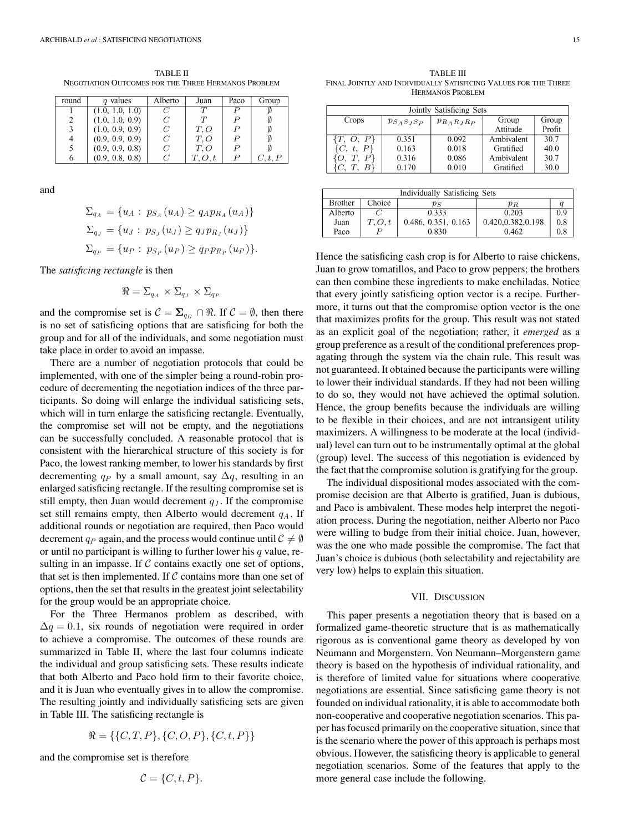TABLE II NEGOTIATION OUTCOMES FOR THE THREE HERMANOS PROBLEM

| round | q values        | Alberto | Juan | Paco             | Group |
|-------|-----------------|---------|------|------------------|-------|
|       | (1.0, 1.0, 1.0) |         |      |                  |       |
|       | (1.0, 1.0, 0.9) |         |      |                  |       |
| 3     | (1.0, 0.9, 0.9) |         | T, O | $\boldsymbol{P}$ |       |
| 4     | (0.9, 0.9, 0.9) | C :     | T.O  | P                |       |
|       | (0.9, 0.9, 0.8) |         | T.O  | $\boldsymbol{P}$ |       |
|       | (0.9, 0.8, 0.8) |         |      |                  |       |

and

$$
\Sigma_{q_A} = \{u_A : p_{S_A}(u_A) \ge q_A p_{R_A}(u_A)\}
$$
  
\n
$$
\Sigma_{q_J} = \{u_J : p_{S_J}(u_J) \ge q_J p_{R_J}(u_J)\}
$$
  
\n
$$
\Sigma_{q_P} = \{u_P : p_{S_P}(u_P) \ge q_P p_{R_P}(u_P)\}.
$$

The *satisficing rectangle* is then

$$
\Re = \Sigma_{q_A} \times \Sigma_{q_J} \times \Sigma_{q_F}
$$

and the compromise set is  $C = \sum_{q_G} \cap \Re$ . If  $C = \emptyset$ , then there is no set of satisficing options that are satisficing for both the group and for all of the individuals, and some negotiation must take place in order to avoid an impasse.

There are a number of negotiation protocols that could be implemented, with one of the simpler being a round-robin procedure of decrementing the negotiation indices of the three participants. So doing will enlarge the individual satisficing sets, which will in turn enlarge the satisficing rectangle. Eventually, the compromise set will not be empty, and the negotiations can be successfully concluded. A reasonable protocol that is consistent with the hierarchical structure of this society is for Paco, the lowest ranking member, to lower his standards by first decrementing  $q_P$  by a small amount, say  $\Delta q$ , resulting in an enlarged satisficing rectangle. If the resulting compromise set is still empty, then Juan would decrement  $q_J$ . If the compromise set still remains empty, then Alberto would decrement  $q_A$ . If additional rounds or negotiation are required, then Paco would decrement  $q_P$  again, and the process would continue until  $C \neq \emptyset$ or until no participant is willing to further lower his q value, resulting in an impasse. If  $\mathcal C$  contains exactly one set of options, that set is then implemented. If  $C$  contains more than one set of options, then the set that results in the greatest joint selectability for the group would be an appropriate choice.

For the Three Hermanos problem as described, with  $\Delta q = 0.1$ , six rounds of negotiation were required in order to achieve a compromise. The outcomes of these rounds are summarized in Table II, where the last four columns indicate the individual and group satisficing sets. These results indicate that both Alberto and Paco hold firm to their favorite choice, and it is Juan who eventually gives in to allow the compromise. The resulting jointly and individually satisficing sets are given in Table III. The satisficing rectangle is

$$
\mathfrak{R} = \{ \{C, T, P\}, \{C, O, P\}, \{C, t, P\} \}
$$

and the compromise set is therefore

$$
\mathcal{C} = \{C, t, P\}.
$$

TABLE III FINAL JOINTLY AND INDIVIDUALLY SATISFICING VALUES FOR THE THREE HERMANOS PROBLEM

| Jointly Satisficing Sets |                   |                   |            |        |  |  |  |  |  |
|--------------------------|-------------------|-------------------|------------|--------|--|--|--|--|--|
| Crops                    | $p_{S_A S_J S_P}$ | $p_{R_A R_I R_P}$ | Group      | Group  |  |  |  |  |  |
|                          |                   |                   | Attitude   | Profit |  |  |  |  |  |
|                          | 0.351             | 0.092             | Ambivalent | 30.7   |  |  |  |  |  |
|                          | 0.163             | 0.018             | Gratified  | 40.0   |  |  |  |  |  |
|                          | 0.316             | 0.086             | Ambivalent | 30.7   |  |  |  |  |  |
|                          | 0.170             | 0.010             | Gratified  | 30.0   |  |  |  |  |  |

| Individually Satisficing Sets |        |                     |                   |     |  |  |  |  |
|-------------------------------|--------|---------------------|-------------------|-----|--|--|--|--|
| <b>Brother</b>                | Choice | $p_{S}$             | $p_R$             |     |  |  |  |  |
| Alberto                       |        | 0.333               | 0.203             | 0.9 |  |  |  |  |
| Juan                          | T,O.t  | 0.486, 0.351, 0.163 | 0.420,0.382,0.198 | 0.8 |  |  |  |  |
| Paco                          |        | 0.830               | 0.462             | 0.8 |  |  |  |  |

Hence the satisficing cash crop is for Alberto to raise chickens, Juan to grow tomatillos, and Paco to grow peppers; the brothers can then combine these ingredients to make enchiladas. Notice that every jointly satisficing option vector is a recipe. Furthermore, it turns out that the compromise option vector is the one that maximizes profits for the group. This result was not stated as an explicit goal of the negotiation; rather, it *emerged* as a group preference as a result of the conditional preferences propagating through the system via the chain rule. This result was not guaranteed. It obtained because the participants were willing to lower their individual standards. If they had not been willing to do so, they would not have achieved the optimal solution. Hence, the group benefits because the individuals are willing to be flexible in their choices, and are not intransigent utility maximizers. A willingness to be moderate at the local (individual) level can turn out to be instrumentally optimal at the global (group) level. The success of this negotiation is evidenced by the fact that the compromise solution is gratifying for the group.

The individual dispositional modes associated with the compromise decision are that Alberto is gratified, Juan is dubious, and Paco is ambivalent. These modes help interpret the negotiation process. During the negotiation, neither Alberto nor Paco were willing to budge from their initial choice. Juan, however, was the one who made possible the compromise. The fact that Juan's choice is dubious (both selectability and rejectability are very low) helps to explain this situation.

## VII. DISCUSSION

This paper presents a negotiation theory that is based on a formalized game-theoretic structure that is as mathematically rigorous as is conventional game theory as developed by von Neumann and Morgenstern. Von Neumann–Morgenstern game theory is based on the hypothesis of individual rationality, and is therefore of limited value for situations where cooperative negotiations are essential. Since satisficing game theory is not founded on individual rationality, it is able to accommodate both non-cooperative and cooperative negotiation scenarios. This paper has focused primarily on the cooperative situation, since that is the scenario where the power of this approach is perhaps most obvious. However, the satisficing theory is applicable to general negotiation scenarios. Some of the features that apply to the more general case include the following.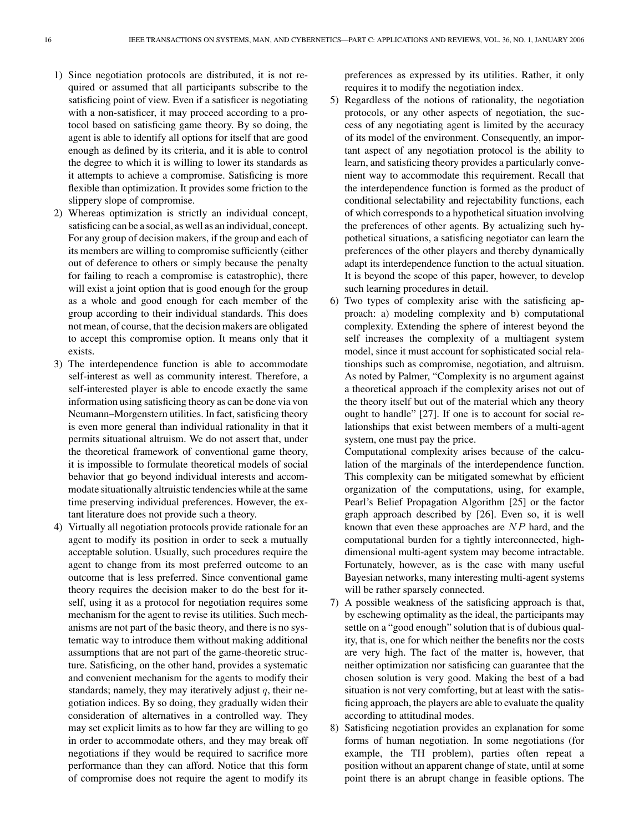- 1) Since negotiation protocols are distributed, it is not required or assumed that all participants subscribe to the satisficing point of view. Even if a satisficer is negotiating with a non-satisficer, it may proceed according to a protocol based on satisficing game theory. By so doing, the agent is able to identify all options for itself that are good enough as defined by its criteria, and it is able to control the degree to which it is willing to lower its standards as it attempts to achieve a compromise. Satisficing is more flexible than optimization. It provides some friction to the slippery slope of compromise.
- 2) Whereas optimization is strictly an individual concept, satisficing can be a social, as well as an individual, concept. For any group of decision makers, if the group and each of its members are willing to compromise sufficiently (either out of deference to others or simply because the penalty for failing to reach a compromise is catastrophic), there will exist a joint option that is good enough for the group as a whole and good enough for each member of the group according to their individual standards. This does not mean, of course, that the decision makers are obligated to accept this compromise option. It means only that it exists.
- 3) The interdependence function is able to accommodate self-interest as well as community interest. Therefore, a self-interested player is able to encode exactly the same information using satisficing theory as can be done via von Neumann–Morgenstern utilities. In fact, satisficing theory is even more general than individual rationality in that it permits situational altruism. We do not assert that, under the theoretical framework of conventional game theory, it is impossible to formulate theoretical models of social behavior that go beyond individual interests and accommodate situationally altruistic tendencies while at the same time preserving individual preferences. However, the extant literature does not provide such a theory.
- 4) Virtually all negotiation protocols provide rationale for an agent to modify its position in order to seek a mutually acceptable solution. Usually, such procedures require the agent to change from its most preferred outcome to an outcome that is less preferred. Since conventional game theory requires the decision maker to do the best for itself, using it as a protocol for negotiation requires some mechanism for the agent to revise its utilities. Such mechanisms are not part of the basic theory, and there is no systematic way to introduce them without making additional assumptions that are not part of the game-theoretic structure. Satisficing, on the other hand, provides a systematic and convenient mechanism for the agents to modify their standards; namely, they may iteratively adjust  $q$ , their negotiation indices. By so doing, they gradually widen their consideration of alternatives in a controlled way. They may set explicit limits as to how far they are willing to go in order to accommodate others, and they may break off negotiations if they would be required to sacrifice more performance than they can afford. Notice that this form of compromise does not require the agent to modify its

preferences as expressed by its utilities. Rather, it only requires it to modify the negotiation index.

- 5) Regardless of the notions of rationality, the negotiation protocols, or any other aspects of negotiation, the success of any negotiating agent is limited by the accuracy of its model of the environment. Consequently, an important aspect of any negotiation protocol is the ability to learn, and satisficing theory provides a particularly convenient way to accommodate this requirement. Recall that the interdependence function is formed as the product of conditional selectability and rejectability functions, each of which corresponds to a hypothetical situation involving the preferences of other agents. By actualizing such hypothetical situations, a satisficing negotiator can learn the preferences of the other players and thereby dynamically adapt its interdependence function to the actual situation. It is beyond the scope of this paper, however, to develop such learning procedures in detail.
- 6) Two types of complexity arise with the satisficing approach: a) modeling complexity and b) computational complexity. Extending the sphere of interest beyond the self increases the complexity of a multiagent system model, since it must account for sophisticated social relationships such as compromise, negotiation, and altruism. As noted by Palmer, "Complexity is no argument against a theoretical approach if the complexity arises not out of the theory itself but out of the material which any theory ought to handle" [27]. If one is to account for social relationships that exist between members of a multi-agent system, one must pay the price.

Computational complexity arises because of the calculation of the marginals of the interdependence function. This complexity can be mitigated somewhat by efficient organization of the computations, using, for example, Pearl's Belief Propagation Algorithm [25] or the factor graph approach described by [26]. Even so, it is well known that even these approaches are  $NP$  hard, and the computational burden for a tightly interconnected, highdimensional multi-agent system may become intractable. Fortunately, however, as is the case with many useful Bayesian networks, many interesting multi-agent systems will be rather sparsely connected.

- 7) A possible weakness of the satisficing approach is that, by eschewing optimality as the ideal, the participants may settle on a "good enough" solution that is of dubious quality, that is, one for which neither the benefits nor the costs are very high. The fact of the matter is, however, that neither optimization nor satisficing can guarantee that the chosen solution is very good. Making the best of a bad situation is not very comforting, but at least with the satisficing approach, the players are able to evaluate the quality according to attitudinal modes.
- 8) Satisficing negotiation provides an explanation for some forms of human negotiation. In some negotiations (for example, the TH problem), parties often repeat a position without an apparent change of state, until at some point there is an abrupt change in feasible options. The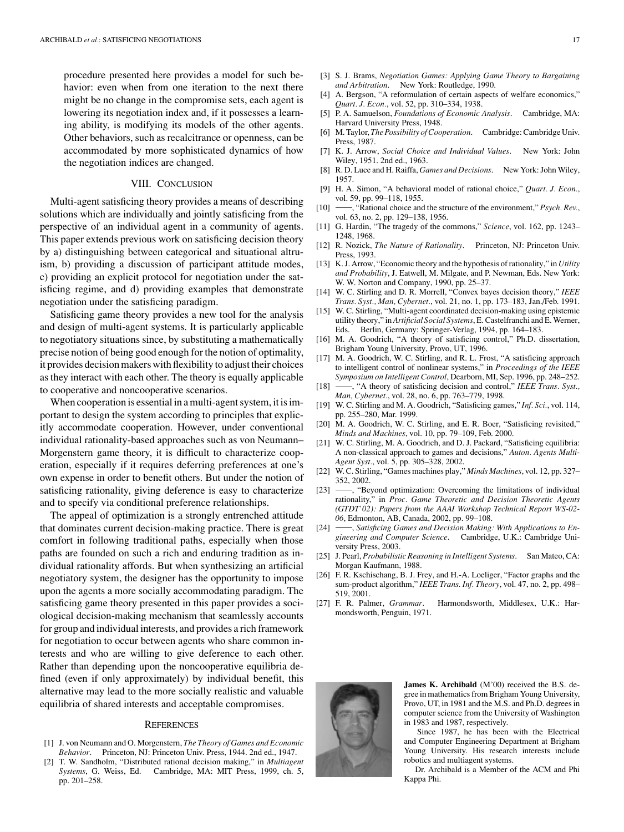procedure presented here provides a model for such behavior: even when from one iteration to the next there might be no change in the compromise sets, each agent is lowering its negotiation index and, if it possesses a learning ability, is modifying its models of the other agents. Other behaviors, such as recalcitrance or openness, can be accommodated by more sophisticated dynamics of how the negotiation indices are changed.

## VIII. CONCLUSION

Multi-agent satisficing theory provides a means of describing solutions which are individually and jointly satisficing from the perspective of an individual agent in a community of agents. This paper extends previous work on satisficing decision theory by a) distinguishing between categorical and situational altruism, b) providing a discussion of participant attitude modes, c) providing an explicit protocol for negotiation under the satisficing regime, and d) providing examples that demonstrate negotiation under the satisficing paradigm.

Satisficing game theory provides a new tool for the analysis and design of multi-agent systems. It is particularly applicable to negotiatory situations since, by substituting a mathematically precise notion of being good enough for the notion of optimality, it provides decision makers with flexibility to adjust their choices as they interact with each other. The theory is equally applicable to cooperative and noncooperative scenarios.

When cooperation is essential in a multi-agent system, it is important to design the system according to principles that explicitly accommodate cooperation. However, under conventional individual rationality-based approaches such as von Neumann– Morgenstern game theory, it is difficult to characterize cooperation, especially if it requires deferring preferences at one's own expense in order to benefit others. But under the notion of satisficing rationality, giving deference is easy to characterize and to specify via conditional preference relationships.

The appeal of optimization is a strongly entrenched attitude that dominates current decision-making practice. There is great comfort in following traditional paths, especially when those paths are founded on such a rich and enduring tradition as individual rationality affords. But when synthesizing an artificial negotiatory system, the designer has the opportunity to impose upon the agents a more socially accommodating paradigm. The satisficing game theory presented in this paper provides a sociological decision-making mechanism that seamlessly accounts for group and individual interests, and provides a rich framework for negotiation to occur between agents who share common interests and who are willing to give deference to each other. Rather than depending upon the noncooperative equilibria defined (even if only approximately) by individual benefit, this alternative may lead to the more socially realistic and valuable equilibria of shared interests and acceptable compromises.

#### **REFERENCES**

- [1] J. von Neumann and O. Morgenstern, *The Theory of Games and Economic Behavior*. Princeton, NJ: Princeton Univ. Press, 1944. 2nd ed., 1947.
- [2] T. W. Sandholm, "Distributed rational decision making," in *Multiagent Systems*, G. Weiss, Ed. Cambridge, MA: MIT Press, 1999, ch. 5, pp. 201–258.
- [3] S. J. Brams, *Negotiation Games: Applying Game Theory to Bargaining and Arbitration*. New York: Routledge, 1990.
- [4] A. Bergson, "A reformulation of certain aspects of welfare economics," *Quart. J. Econ.*, vol. 52, pp. 310–334, 1938.
- [5] P. A. Samuelson, *Foundations of Economic Analysis*. Cambridge, MA: Harvard University Press, 1948.
- [6] M. Taylor, *The Possibility of Cooperation*. Cambridge: Cambridge Univ. Press, 1987.
- [7] K. J. Arrow, *Social Choice and Individual Values*. New York: John Wiley, 1951. 2nd ed., 1963.
- [8] R. D. Luce and H. Raiffa, *Games and Decisions*. New York: John Wiley, 1957.
- [9] H. A. Simon, "A behavioral model of rational choice," *Quart. J. Econ.*, vol. 59, pp. 99–118, 1955.
- [10] , "Rational choice and the structure of the environment," *Psych. Rev.*, vol. 63, no. 2, pp. 129–138, 1956.
- [11] G. Hardin, "The tragedy of the commons," *Science*, vol. 162, pp. 1243– 1248, 1968.
- [12] R. Nozick, *The Nature of Rationality*. Princeton, NJ: Princeton Univ. Press, 1993.
- [13] K. J. Arrow, "Economic theory and the hypothesis of rationality," in *Utility and Probability*, J. Eatwell, M. Milgate, and P. Newman, Eds. New York: W. W. Norton and Company, 1990, pp. 25–37.
- [14] W. C. Stirling and D. R. Morrell, "Convex bayes decision theory," *IEEE Trans. Syst., Man, Cybernet.*, vol. 21, no. 1, pp. 173–183, Jan./Feb. 1991.
- [15] W. C. Stirling, "Multi-agent coordinated decision-making using epistemic utility theory," in *Artificial Social Systems*, E. Castelfranchi and E. Werner, Eds. Berlin, Germany: Springer-Verlag, 1994, pp. 164–183.
- [16] M. A. Goodrich, "A theory of satisficing control," Ph.D. dissertation, Brigham Young University, Provo, UT, 1996.
- [17] M. A. Goodrich, W. C. Stirling, and R. L. Frost, "A satisficing approach to intelligent control of nonlinear systems," in *Proceedings of the IEEE Symposium on Intelligent Control*, Dearborn, MI, Sep. 1996, pp. 248–252.
- [18]  $\rightarrow$  "A theory of satisficing decision and control," *IEEE Trans. Syst.*, *Man, Cybernet.*, vol. 28, no. 6, pp. 763–779, 1998.
- [19] W. C. Stirling and M. A. Goodrich, "Satisficing games," *Inf. Sci.*, vol. 114, pp. 255–280, Mar. 1999.
- [20] M. A. Goodrich, W. C. Stirling, and E. R. Boer, "Satisficing revisited," *Minds and Machines*, vol. 10, pp. 79–109, Feb. 2000.
- [21] W. C. Stirling, M. A. Goodrich, and D. J. Packard, "Satisficing equilibria: A non-classical approach to games and decisions," *Auton. Agents Multi-Agent Syst.*, vol. 5, pp. 305–328, 2002.
- [22] W. C. Stirling, "Games machines play," *Minds Machines*, vol. 12, pp. 327– 352, 2002.
- [23] -, "Beyond optimization: Overcoming the limitations of individual rationality," in *Proc. Game Theoretic and Decision Theoretic Agents (GTDT'02): Papers from the AAAI Workshop Technical Report WS-02- 06*, Edmonton, AB, Canada, 2002, pp. 99–108.
- [24]  $\longrightarrow$ , *Satisficing Games and Decision Making: With Applications to Engineering and Computer Science*. Cambridge, U.K.: Cambridge University Press, 2003.
- [25] J. Pearl, *Probabilistic Reasoning in Intelligent Systems*. San Mateo, CA: Morgan Kaufmann, 1988.
- [26] F. R. Kschischang, B. J. Frey, and H.-A. Loeliger, "Factor graphs and the sum-product algorithm," *IEEE Trans. Inf. Theory*, vol. 47, no. 2, pp. 498– 519, 2001.
- [27] F. R. Palmer, *Grammar*. Harmondsworth, Middlesex, U.K.: Harmondsworth, Penguin, 1971.



**James K. Archibald** (M'00) received the B.S. degree in mathematics from Brigham Young University, Provo, UT, in 1981 and the M.S. and Ph.D. degrees in computer science from the University of Washington in 1983 and 1987, respectively.

Since 1987, he has been with the Electrical and Computer Engineering Department at Brigham Young University. His research interests include robotics and multiagent systems.

Dr. Archibald is a Member of the ACM and Phi Kappa Phi.